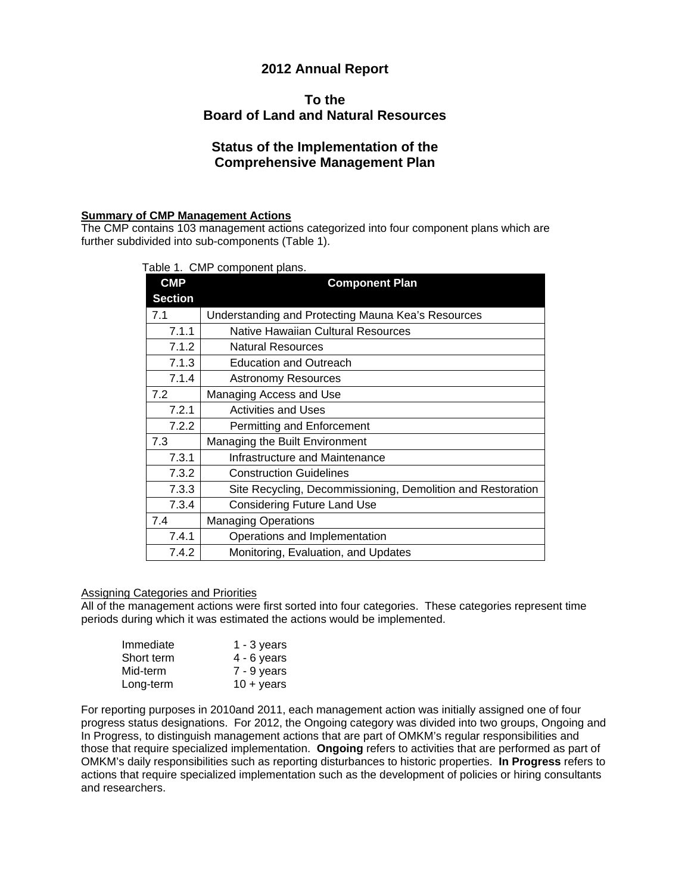## **2012 Annual Report**

## **To the Board of Land and Natural Resources**

## **Status of the Implementation of the Comprehensive Management Plan**

### **Summary of CMP Management Actions**

The CMP contains 103 management actions categorized into four component plans which are further subdivided into sub-components (Table 1).

| <b>CMP</b>     | <b>Component Plan</b>                                       |
|----------------|-------------------------------------------------------------|
| <b>Section</b> |                                                             |
| 7.1            | Understanding and Protecting Mauna Kea's Resources          |
| 7.1.1          | <b>Native Hawaiian Cultural Resources</b>                   |
| 7.1.2          | <b>Natural Resources</b>                                    |
| 7.1.3          | <b>Education and Outreach</b>                               |
| 7.1.4          | <b>Astronomy Resources</b>                                  |
| 7.2            | Managing Access and Use                                     |
| 7.2.1          | <b>Activities and Uses</b>                                  |
| 7.2.2          | Permitting and Enforcement                                  |
| 7.3            | Managing the Built Environment                              |
| 7.3.1          | Infrastructure and Maintenance                              |
| 7.3.2          | <b>Construction Guidelines</b>                              |
| 7.3.3          | Site Recycling, Decommissioning, Demolition and Restoration |
| 7.3.4          | <b>Considering Future Land Use</b>                          |
| 7.4            | <b>Managing Operations</b>                                  |
| 7.4.1          | Operations and Implementation                               |
| 7.4.2          | Monitoring, Evaluation, and Updates                         |

#### Assigning Categories and Priorities

All of the management actions were first sorted into four categories. These categories represent time periods during which it was estimated the actions would be implemented.

| Immediate  | 1 - $3$ years       |
|------------|---------------------|
| Short term | $4 - 6$ years       |
| Mid-term   | $7 - 9$ years       |
| Long-term  | $10 + \text{years}$ |

For reporting purposes in 2010and 2011, each management action was initially assigned one of four progress status designations. For 2012, the Ongoing category was divided into two groups, Ongoing and In Progress, to distinguish management actions that are part of OMKM's regular responsibilities and those that require specialized implementation. **Ongoing** refers to activities that are performed as part of OMKM's daily responsibilities such as reporting disturbances to historic properties. **In Progress** refers to actions that require specialized implementation such as the development of policies or hiring consultants and researchers.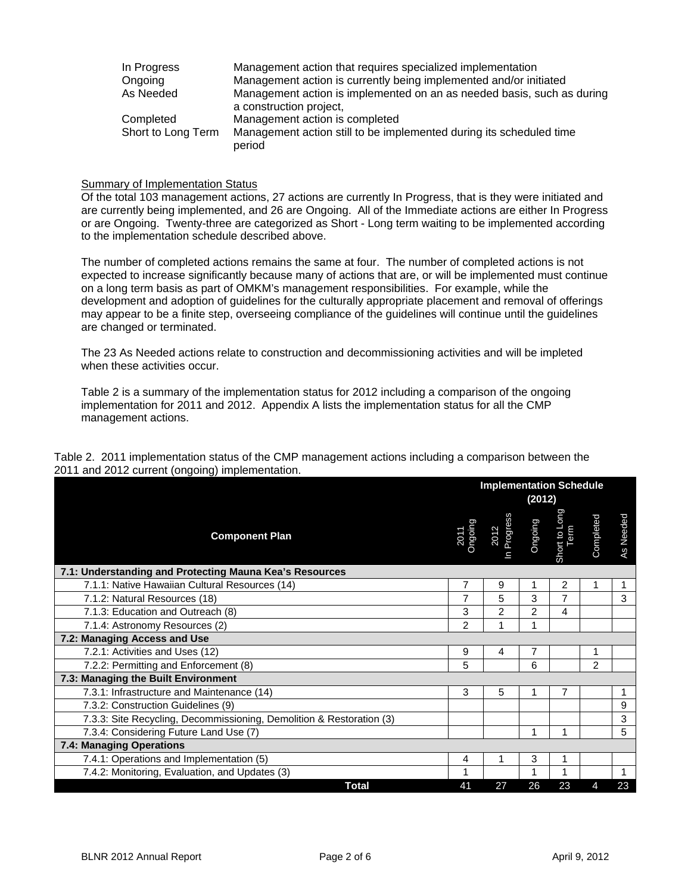| In Progress        | Management action that requires specialized implementation                    |
|--------------------|-------------------------------------------------------------------------------|
| Ongoing            | Management action is currently being implemented and/or initiated             |
| As Needed          | Management action is implemented on an as needed basis, such as during        |
|                    | a construction project,                                                       |
| Completed          | Management action is completed                                                |
| Short to Long Term | Management action still to be implemented during its scheduled time<br>period |

#### **Summary of Implementation Status**

Of the total 103 management actions, 27 actions are currently In Progress, that is they were initiated and are currently being implemented, and 26 are Ongoing. All of the Immediate actions are either In Progress or are Ongoing. Twenty-three are categorized as Short - Long term waiting to be implemented according to the implementation schedule described above.

The number of completed actions remains the same at four. The number of completed actions is not expected to increase significantly because many of actions that are, or will be implemented must continue on a long term basis as part of OMKM's management responsibilities. For example, while the development and adoption of guidelines for the culturally appropriate placement and removal of offerings may appear to be a finite step, overseeing compliance of the guidelines will continue until the guidelines are changed or terminated.

The 23 As Needed actions relate to construction and decommissioning activities and will be impleted when these activities occur.

Table 2 is a summary of the implementation status for 2012 including a comparison of the ongoing implementation for 2011 and 2012. Appendix A lists the implementation status for all the CMP management actions.

|                                                                      | <b>Implementation Schedule</b><br>(2012) |                                                         |                |                |                |           |
|----------------------------------------------------------------------|------------------------------------------|---------------------------------------------------------|----------------|----------------|----------------|-----------|
| <b>Component Plan</b>                                                | 2011<br>Ongoir                           | 2012<br>In Progress<br>Ongoing<br>Short to Long<br>Term |                |                | Completed      | As Needed |
| 7.1: Understanding and Protecting Mauna Kea's Resources              |                                          |                                                         |                |                |                |           |
| 7.1.1: Native Hawaiian Cultural Resources (14)                       | 7                                        | 9                                                       |                | $\overline{2}$ |                |           |
| 7.1.2: Natural Resources (18)                                        | 7                                        | 5                                                       | 3              | 7              |                | 3         |
| 7.1.3: Education and Outreach (8)                                    | 3                                        | 2                                                       | $\overline{c}$ | 4              |                |           |
| 7.1.4: Astronomy Resources (2)                                       | $\overline{c}$                           | 1                                                       | 1              |                |                |           |
| 7.2: Managing Access and Use                                         |                                          |                                                         |                |                |                |           |
| 7.2.1: Activities and Uses (12)                                      | 9                                        | 4                                                       |                |                |                |           |
| 7.2.2: Permitting and Enforcement (8)                                | 5                                        |                                                         | 6              |                | $\overline{2}$ |           |
| 7.3: Managing the Built Environment                                  |                                          |                                                         |                |                |                |           |
| 7.3.1: Infrastructure and Maintenance (14)                           | 3                                        | 5                                                       | 1              | 7              |                |           |
| 7.3.2: Construction Guidelines (9)                                   |                                          |                                                         |                |                |                | 9         |
| 7.3.3: Site Recycling, Decommissioning, Demolition & Restoration (3) |                                          |                                                         |                |                |                | 3         |
| 7.3.4: Considering Future Land Use (7)                               |                                          |                                                         | 1              | 1              |                | 5         |
| 7.4: Managing Operations                                             |                                          |                                                         |                |                |                |           |
| 7.4.1: Operations and Implementation (5)                             | 4                                        | 1                                                       | 3              | 1              |                |           |
| 7.4.2: Monitoring, Evaluation, and Updates (3)                       |                                          |                                                         |                |                |                |           |
| <b>Total</b>                                                         | 41                                       | 27                                                      | 26             | 23             |                | 23        |

Table 2. 2011 implementation status of the CMP management actions including a comparison between the 2011 and 2012 current (ongoing) implementation.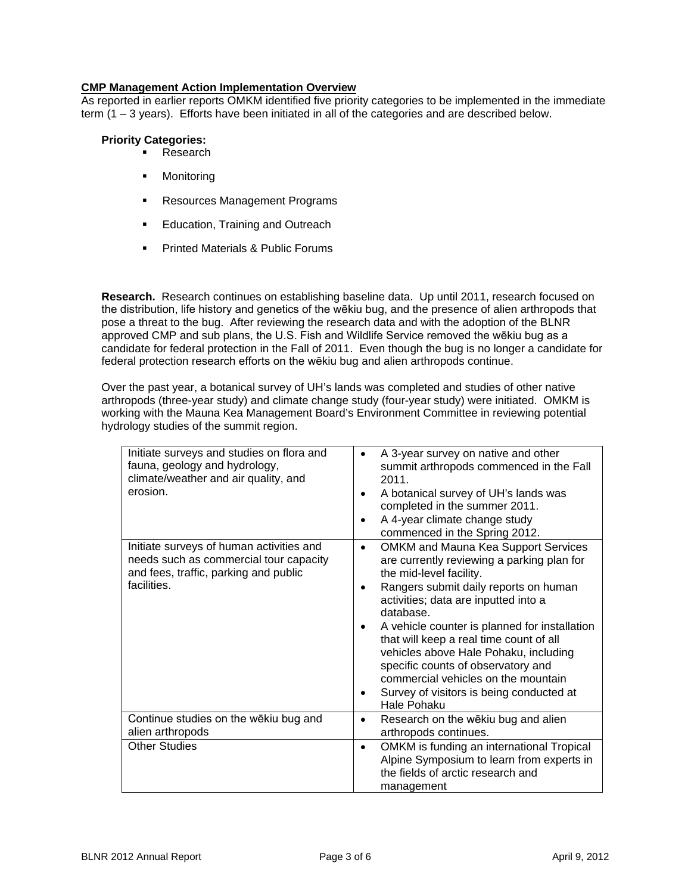#### **CMP Management Action Implementation Overview**

As reported in earlier reports OMKM identified five priority categories to be implemented in the immediate term (1 – 3 years). Efforts have been initiated in all of the categories and are described below.

#### **Priority Categories:**

- **Research**
- Monitoring
- **Resources Management Programs**
- **Education, Training and Outreach**
- **•** Printed Materials & Public Forums

**Research.** Research continues on establishing baseline data. Up until 2011, research focused on the distribution, life history and genetics of the wēkiu bug, and the presence of alien arthropods that pose a threat to the bug. After reviewing the research data and with the adoption of the BLNR approved CMP and sub plans, the U.S. Fish and Wildlife Service removed the wēkiu bug as a candidate for federal protection in the Fall of 2011. Even though the bug is no longer a candidate for federal protection research efforts on the wēkiu bug and alien arthropods continue.

Over the past year, a botanical survey of UH's lands was completed and studies of other native arthropods (three-year study) and climate change study (four-year study) were initiated. OMKM is working with the Mauna Kea Management Board's Environment Committee in reviewing potential hydrology studies of the summit region.

| Initiate surveys and studies on flora and<br>fauna, geology and hydrology,<br>climate/weather and air quality, and<br>erosion              | A 3-year survey on native and other<br>summit arthropods commenced in the Fall<br>2011.<br>A botanical survey of UH's lands was<br>$\bullet$<br>completed in the summer 2011.<br>A 4-year climate change study<br>commenced in the Spring 2012.                                                                                                                                                                                                                                                                                            |
|--------------------------------------------------------------------------------------------------------------------------------------------|--------------------------------------------------------------------------------------------------------------------------------------------------------------------------------------------------------------------------------------------------------------------------------------------------------------------------------------------------------------------------------------------------------------------------------------------------------------------------------------------------------------------------------------------|
| Initiate surveys of human activities and<br>needs such as commercial tour capacity<br>and fees, traffic, parking and public<br>facilities. | <b>OMKM and Mauna Kea Support Services</b><br>$\bullet$<br>are currently reviewing a parking plan for<br>the mid-level facility.<br>Rangers submit daily reports on human<br>$\bullet$<br>activities; data are inputted into a<br>database.<br>A vehicle counter is planned for installation<br>٠<br>that will keep a real time count of all<br>vehicles above Hale Pohaku, including<br>specific counts of observatory and<br>commercial vehicles on the mountain<br>Survey of visitors is being conducted at<br>$\bullet$<br>Hale Pohaku |
| Continue studies on the wēkiu bug and<br>alien arthropods                                                                                  | Research on the wekiu bug and alien<br>$\bullet$<br>arthropods continues.                                                                                                                                                                                                                                                                                                                                                                                                                                                                  |
| <b>Other Studies</b>                                                                                                                       | OMKM is funding an international Tropical<br>$\bullet$<br>Alpine Symposium to learn from experts in<br>the fields of arctic research and<br>management                                                                                                                                                                                                                                                                                                                                                                                     |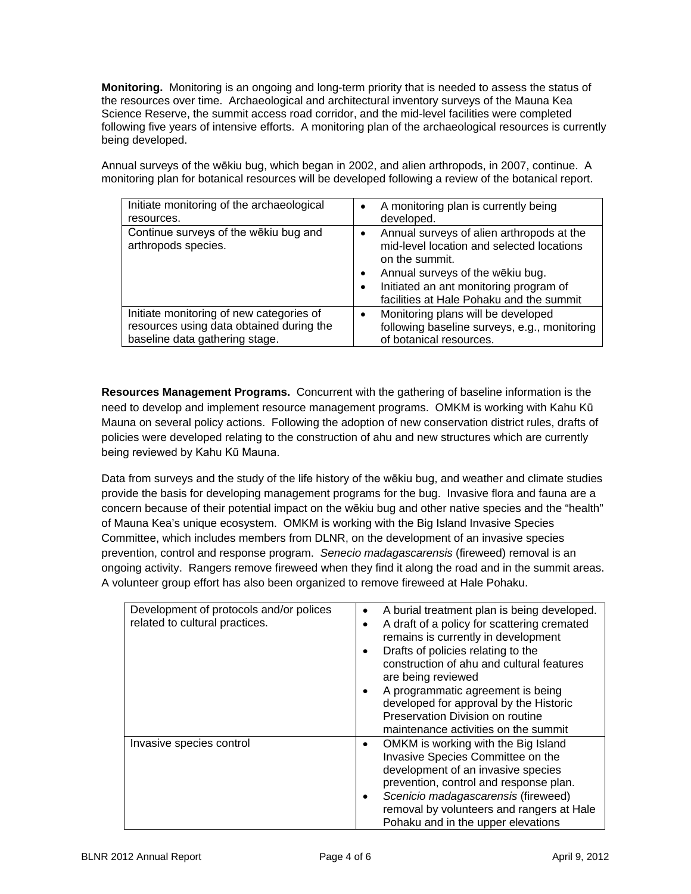**Monitoring.** Monitoring is an ongoing and long-term priority that is needed to assess the status of the resources over time. Archaeological and architectural inventory surveys of the Mauna Kea Science Reserve, the summit access road corridor, and the mid-level facilities were completed following five years of intensive efforts. A monitoring plan of the archaeological resources is currently being developed.

Annual surveys of the wēkiu bug, which began in 2002, and alien arthropods, in 2007, continue. A monitoring plan for botanical resources will be developed following a review of the botanical report.

| Initiate monitoring of the archaeological<br>resources.                                                                | A monitoring plan is currently being<br>developed.                                                                                                                                                                                                                        |
|------------------------------------------------------------------------------------------------------------------------|---------------------------------------------------------------------------------------------------------------------------------------------------------------------------------------------------------------------------------------------------------------------------|
| Continue surveys of the wekiu bug and<br>arthropods species.                                                           | Annual surveys of alien arthropods at the<br>$\bullet$<br>mid-level location and selected locations<br>on the summit.<br>Annual surveys of the wekiu bug.<br>$\bullet$<br>Initiated an ant monitoring program of<br>$\bullet$<br>facilities at Hale Pohaku and the summit |
| Initiate monitoring of new categories of<br>resources using data obtained during the<br>baseline data gathering stage. | Monitoring plans will be developed<br>$\bullet$<br>following baseline surveys, e.g., monitoring<br>of botanical resources.                                                                                                                                                |

**Resources Management Programs.** Concurrent with the gathering of baseline information is the need to develop and implement resource management programs. OMKM is working with Kahu Kū Mauna on several policy actions. Following the adoption of new conservation district rules, drafts of policies were developed relating to the construction of ahu and new structures which are currently being reviewed by Kahu Kū Mauna.

Data from surveys and the study of the life history of the wēkiu bug, and weather and climate studies provide the basis for developing management programs for the bug. Invasive flora and fauna are a concern because of their potential impact on the wēkiu bug and other native species and the "health" of Mauna Kea's unique ecosystem. OMKM is working with the Big Island Invasive Species Committee, which includes members from DLNR, on the development of an invasive species prevention, control and response program. *Senecio madagascarensis* (fireweed) removal is an ongoing activity. Rangers remove fireweed when they find it along the road and in the summit areas. A volunteer group effort has also been organized to remove fireweed at Hale Pohaku.

| Development of protocols and/or polices | A burial treatment plan is being developed.<br>٠ |
|-----------------------------------------|--------------------------------------------------|
| related to cultural practices.          | A draft of a policy for scattering cremated<br>٠ |
|                                         | remains is currently in development              |
|                                         | Drafts of policies relating to the               |
|                                         | construction of ahu and cultural features        |
|                                         | are being reviewed                               |
|                                         | A programmatic agreement is being<br>٠           |
|                                         | developed for approval by the Historic           |
|                                         | Preservation Division on routine                 |
|                                         | maintenance activities on the summit             |
| Invasive species control                | OMKM is working with the Big Island              |
|                                         | Invasive Species Committee on the                |
|                                         | development of an invasive species               |
|                                         | prevention, control and response plan.           |
|                                         | Scenicio madagascarensis (fireweed)<br>$\bullet$ |
|                                         | removal by volunteers and rangers at Hale        |
|                                         | Pohaku and in the upper elevations               |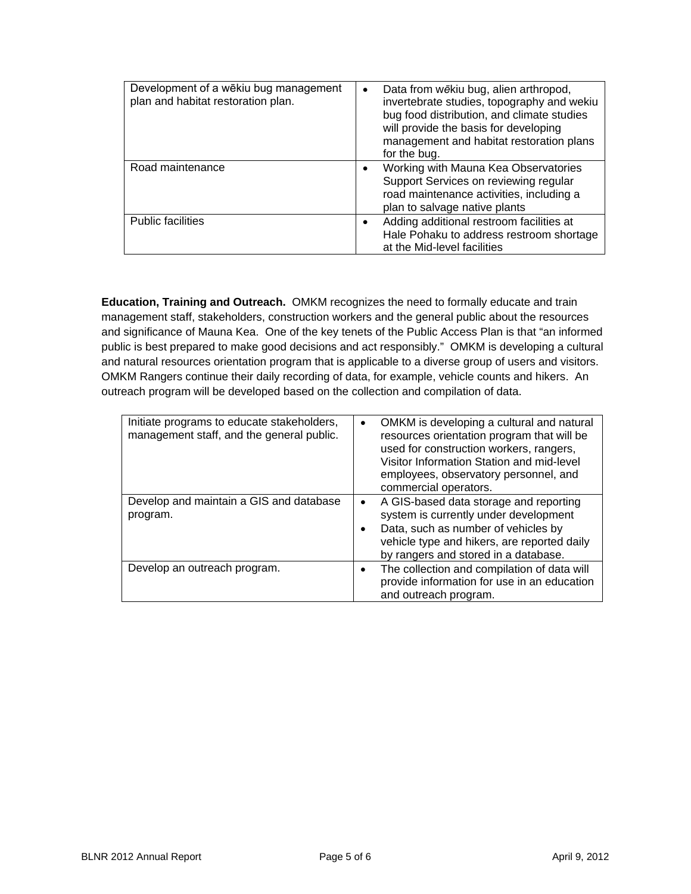| Development of a wekiu bug management<br>plan and habitat restoration plan. | $\bullet$ | Data from wēkiu bug, alien arthropod,<br>invertebrate studies, topography and wekiu<br>bug food distribution, and climate studies<br>will provide the basis for developing<br>management and habitat restoration plans<br>for the bug. |
|-----------------------------------------------------------------------------|-----------|----------------------------------------------------------------------------------------------------------------------------------------------------------------------------------------------------------------------------------------|
| Road maintenance                                                            | $\bullet$ | Working with Mauna Kea Observatories<br>Support Services on reviewing regular<br>road maintenance activities, including a<br>plan to salvage native plants                                                                             |
| <b>Public facilities</b>                                                    | $\bullet$ | Adding additional restroom facilities at<br>Hale Pohaku to address restroom shortage<br>at the Mid-level facilities                                                                                                                    |

**Education, Training and Outreach.** OMKM recognizes the need to formally educate and train management staff, stakeholders, construction workers and the general public about the resources and significance of Mauna Kea. One of the key tenets of the Public Access Plan is that "an informed public is best prepared to make good decisions and act responsibly." OMKM is developing a cultural and natural resources orientation program that is applicable to a diverse group of users and visitors. OMKM Rangers continue their daily recording of data, for example, vehicle counts and hikers. An outreach program will be developed based on the collection and compilation of data.

| Initiate programs to educate stakeholders,<br>management staff, and the general public. | OMKM is developing a cultural and natural<br>$\bullet$<br>resources orientation program that will be<br>used for construction workers, rangers,<br>Visitor Information Station and mid-level<br>employees, observatory personnel, and<br>commercial operators. |
|-----------------------------------------------------------------------------------------|----------------------------------------------------------------------------------------------------------------------------------------------------------------------------------------------------------------------------------------------------------------|
| Develop and maintain a GIS and database<br>program.                                     | A GIS-based data storage and reporting<br>$\bullet$<br>system is currently under development<br>Data, such as number of vehicles by<br>$\bullet$<br>vehicle type and hikers, are reported daily<br>by rangers and stored in a database.                        |
| Develop an outreach program.                                                            | The collection and compilation of data will<br>$\bullet$<br>provide information for use in an education<br>and outreach program.                                                                                                                               |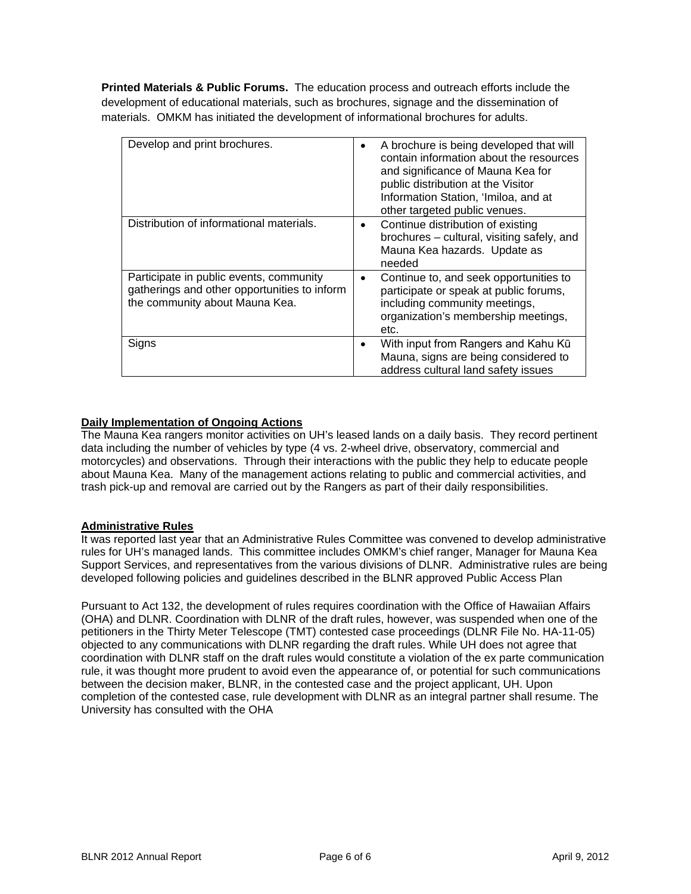**Printed Materials & Public Forums.** The education process and outreach efforts include the development of educational materials, such as brochures, signage and the dissemination of materials. OMKM has initiated the development of informational brochures for adults.

| Develop and print brochures.                                                   | A brochure is being developed that will                                                  |
|--------------------------------------------------------------------------------|------------------------------------------------------------------------------------------|
|                                                                                | contain information about the resources<br>and significance of Mauna Kea for             |
|                                                                                | public distribution at the Visitor                                                       |
|                                                                                | Information Station, 'Imiloa, and at<br>other targeted public venues.                    |
| Distribution of informational materials.                                       | Continue distribution of existing<br>$\bullet$                                           |
|                                                                                | brochures – cultural, visiting safely, and<br>Mauna Kea hazards. Update as               |
|                                                                                | needed                                                                                   |
| Participate in public events, community                                        | Continue to, and seek opportunities to<br>$\bullet$                                      |
| gatherings and other opportunities to inform<br>the community about Mauna Kea. | participate or speak at public forums,<br>including community meetings,                  |
|                                                                                | organization's membership meetings,                                                      |
|                                                                                | etc.                                                                                     |
| Signs                                                                          | With input from Rangers and Kahu Kū<br>$\bullet$<br>Mauna, signs are being considered to |
|                                                                                | address cultural land safety issues                                                      |

## **Daily Implementation of Ongoing Actions**

The Mauna Kea rangers monitor activities on UH's leased lands on a daily basis. They record pertinent data including the number of vehicles by type (4 vs. 2-wheel drive, observatory, commercial and motorcycles) and observations. Through their interactions with the public they help to educate people about Mauna Kea. Many of the management actions relating to public and commercial activities, and trash pick-up and removal are carried out by the Rangers as part of their daily responsibilities.

#### **Administrative Rules**

It was reported last year that an Administrative Rules Committee was convened to develop administrative rules for UH's managed lands. This committee includes OMKM's chief ranger, Manager for Mauna Kea Support Services, and representatives from the various divisions of DLNR. Administrative rules are being developed following policies and guidelines described in the BLNR approved Public Access Plan

Pursuant to Act 132, the development of rules requires coordination with the Office of Hawaiian Affairs (OHA) and DLNR. Coordination with DLNR of the draft rules, however, was suspended when one of the petitioners in the Thirty Meter Telescope (TMT) contested case proceedings (DLNR File No. HA-11-05) objected to any communications with DLNR regarding the draft rules. While UH does not agree that coordination with DLNR staff on the draft rules would constitute a violation of the ex parte communication rule, it was thought more prudent to avoid even the appearance of, or potential for such communications between the decision maker, BLNR, in the contested case and the project applicant, UH. Upon completion of the contested case, rule development with DLNR as an integral partner shall resume. The University has consulted with the OHA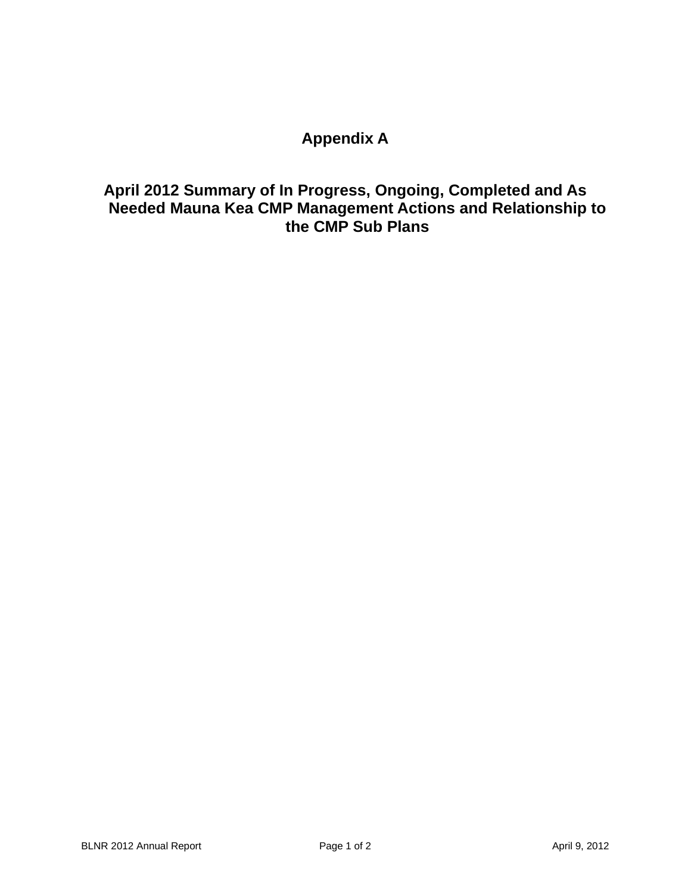# **Appendix A**

## **April 2012 Summary of In Progress, Ongoing, Completed and As Needed Mauna Kea CMP Management Actions and Relationship to the CMP Sub Plans**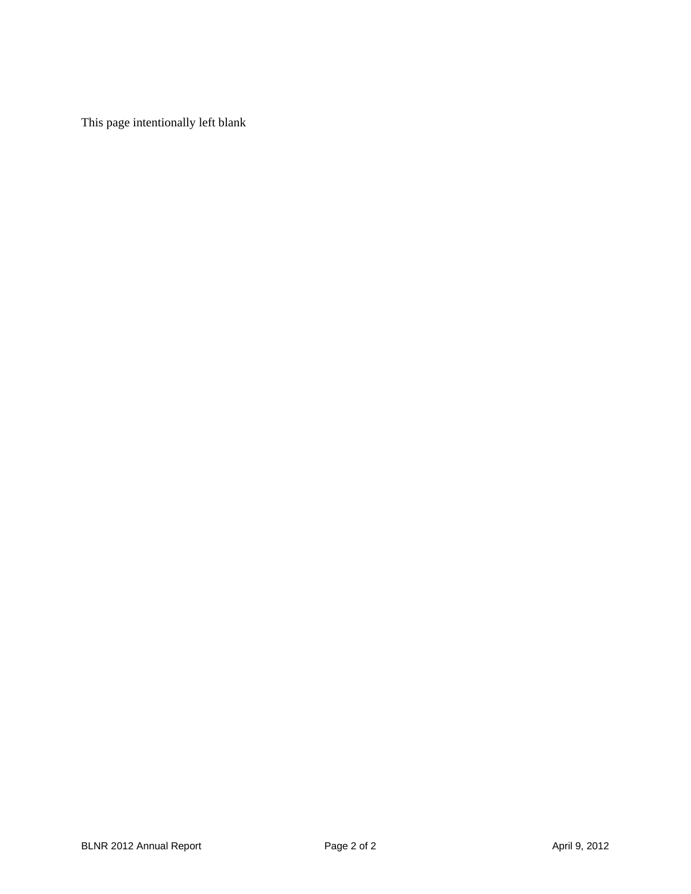This page intentionally left blank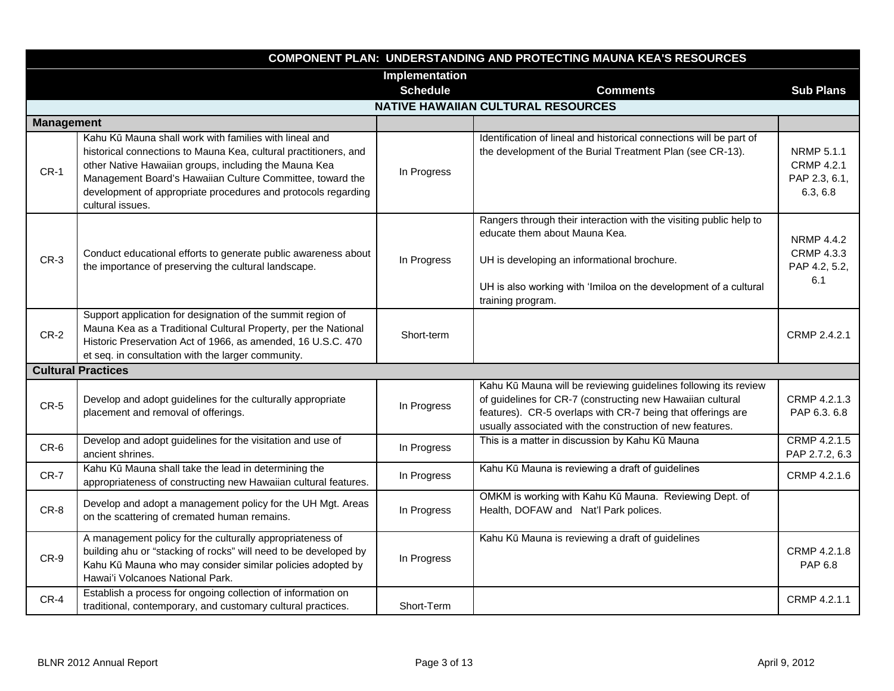|                   | <b>COMPONENT PLAN: UNDERSTANDING AND PROTECTING MAUNA KEA'S RESOURCES</b>                                                                                                                                                                                                                                                             |                 |                                                                                                                                                                                        |                                                                     |  |
|-------------------|---------------------------------------------------------------------------------------------------------------------------------------------------------------------------------------------------------------------------------------------------------------------------------------------------------------------------------------|-----------------|----------------------------------------------------------------------------------------------------------------------------------------------------------------------------------------|---------------------------------------------------------------------|--|
|                   |                                                                                                                                                                                                                                                                                                                                       | Implementation  |                                                                                                                                                                                        |                                                                     |  |
|                   |                                                                                                                                                                                                                                                                                                                                       | <b>Schedule</b> | <b>Comments</b>                                                                                                                                                                        | <b>Sub Plans</b>                                                    |  |
|                   |                                                                                                                                                                                                                                                                                                                                       |                 | <b>NATIVE HAWAIIAN CULTURAL RESOURCES</b>                                                                                                                                              |                                                                     |  |
| <b>Management</b> |                                                                                                                                                                                                                                                                                                                                       |                 |                                                                                                                                                                                        |                                                                     |  |
| $CR-1$            | Kahu Kū Mauna shall work with families with lineal and<br>historical connections to Mauna Kea, cultural practitioners, and<br>other Native Hawaiian groups, including the Mauna Kea<br>Management Board's Hawaiian Culture Committee, toward the<br>development of appropriate procedures and protocols regarding<br>cultural issues. | In Progress     | Identification of lineal and historical connections will be part of<br>the development of the Burial Treatment Plan (see CR-13).                                                       | <b>NRMP 5.1.1</b><br><b>CRMP 4.2.1</b><br>PAP 2.3, 6.1,<br>6.3, 6.8 |  |
| $CR-3$            | Conduct educational efforts to generate public awareness about                                                                                                                                                                                                                                                                        | In Progress     | Rangers through their interaction with the visiting public help to<br>educate them about Mauna Kea.<br>UH is developing an informational brochure.                                     | <b>NRMP 4.4.2</b><br><b>CRMP 4.3.3</b>                              |  |
|                   | the importance of preserving the cultural landscape.                                                                                                                                                                                                                                                                                  |                 | UH is also working with 'Imiloa on the development of a cultural<br>training program.                                                                                                  | PAP 4.2, 5.2,<br>6.1                                                |  |
| $CR-2$            | Support application for designation of the summit region of<br>Mauna Kea as a Traditional Cultural Property, per the National<br>Historic Preservation Act of 1966, as amended, 16 U.S.C. 470                                                                                                                                         | Short-term      |                                                                                                                                                                                        | CRMP 2.4.2.1                                                        |  |
|                   | et seq. in consultation with the larger community.<br><b>Cultural Practices</b>                                                                                                                                                                                                                                                       |                 |                                                                                                                                                                                        |                                                                     |  |
|                   |                                                                                                                                                                                                                                                                                                                                       |                 | Kahu Kū Mauna will be reviewing guidelines following its review                                                                                                                        |                                                                     |  |
| $CR-5$            | Develop and adopt guidelines for the culturally appropriate<br>placement and removal of offerings.                                                                                                                                                                                                                                    | In Progress     | of guidelines for CR-7 (constructing new Hawaiian cultural<br>features). CR-5 overlaps with CR-7 being that offerings are<br>usually associated with the construction of new features. | CRMP 4.2.1.3<br>PAP 6.3. 6.8                                        |  |
| CR-6              | Develop and adopt guidelines for the visitation and use of<br>ancient shrines.                                                                                                                                                                                                                                                        | In Progress     | This is a matter in discussion by Kahu Kū Mauna                                                                                                                                        | CRMP 4.2.1.5<br>PAP 2.7.2, 6.3                                      |  |
| CR-7              | Kahu Kū Mauna shall take the lead in determining the<br>appropriateness of constructing new Hawaiian cultural features.                                                                                                                                                                                                               | In Progress     | Kahu Kū Mauna is reviewing a draft of guidelines                                                                                                                                       | CRMP 4.2.1.6                                                        |  |
| CR-8              | Develop and adopt a management policy for the UH Mgt. Areas<br>on the scattering of cremated human remains.                                                                                                                                                                                                                           | In Progress     | OMKM is working with Kahu Kū Mauna. Reviewing Dept. of<br>Health, DOFAW and Nat'l Park polices.                                                                                        |                                                                     |  |
| CR-9              | A management policy for the culturally appropriateness of<br>building ahu or "stacking of rocks" will need to be developed by<br>Kahu Kū Mauna who may consider similar policies adopted by<br>Hawai'i Volcanoes National Park.                                                                                                       | In Progress     | Kahu Kū Mauna is reviewing a draft of guidelines                                                                                                                                       | CRMP 4.2.1.8<br>PAP 6.8                                             |  |
| $CR-4$            | Establish a process for ongoing collection of information on<br>traditional, contemporary, and customary cultural practices.                                                                                                                                                                                                          | Short-Term      |                                                                                                                                                                                        | CRMP 4.2.1.1                                                        |  |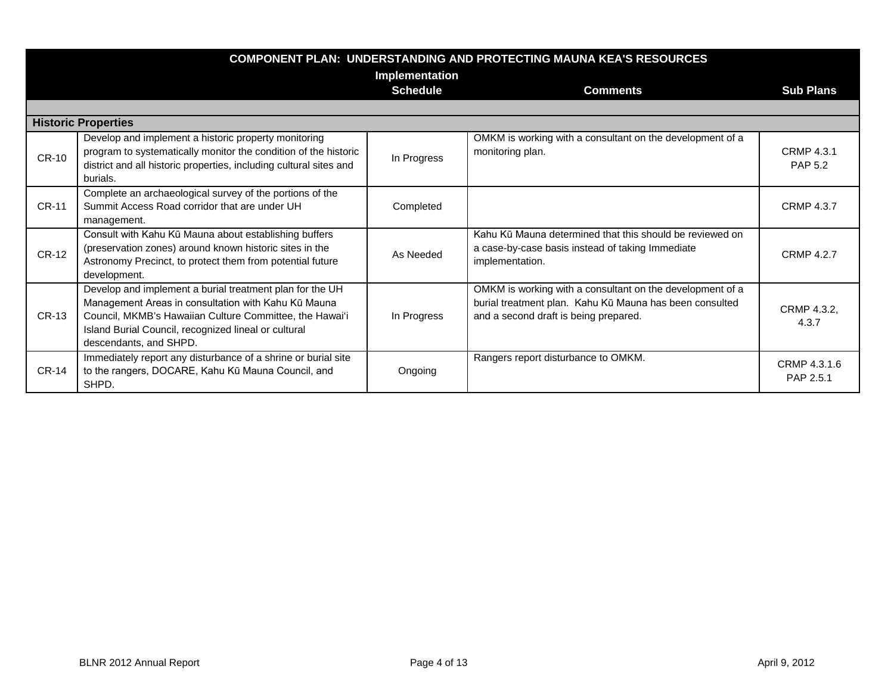| <b>COMPONENT PLAN: UNDERSTANDING AND PROTECTING MAUNA KEA'S RESOURCES</b> |                                                                                                                                                                                                                                                              |                 |                                                                                                                                                               |                                     |
|---------------------------------------------------------------------------|--------------------------------------------------------------------------------------------------------------------------------------------------------------------------------------------------------------------------------------------------------------|-----------------|---------------------------------------------------------------------------------------------------------------------------------------------------------------|-------------------------------------|
|                                                                           |                                                                                                                                                                                                                                                              | Implementation  |                                                                                                                                                               |                                     |
|                                                                           |                                                                                                                                                                                                                                                              | <b>Schedule</b> | <b>Comments</b>                                                                                                                                               | <b>Sub Plans</b>                    |
|                                                                           | <b>Historic Properties</b>                                                                                                                                                                                                                                   |                 |                                                                                                                                                               |                                     |
| <b>CR-10</b>                                                              | Develop and implement a historic property monitoring<br>program to systematically monitor the condition of the historic<br>district and all historic properties, including cultural sites and<br>burials.                                                    | In Progress     | OMKM is working with a consultant on the development of a<br>monitoring plan.                                                                                 | <b>CRMP 4.3.1</b><br><b>PAP 5.2</b> |
| CR-11                                                                     | Complete an archaeological survey of the portions of the<br>Summit Access Road corridor that are under UH<br>management.                                                                                                                                     | Completed       |                                                                                                                                                               | <b>CRMP 4.3.7</b>                   |
| <b>CR-12</b>                                                              | Consult with Kahu Kū Mauna about establishing buffers<br>(preservation zones) around known historic sites in the<br>Astronomy Precinct, to protect them from potential future<br>development.                                                                | As Needed       | Kahu Kū Mauna determined that this should be reviewed on<br>a case-by-case basis instead of taking Immediate<br>implementation.                               | <b>CRMP 4.2.7</b>                   |
| $CR-13$                                                                   | Develop and implement a burial treatment plan for the UH<br>Management Areas in consultation with Kahu Kū Mauna<br>Council, MKMB's Hawaiian Culture Committee, the Hawai'i<br>Island Burial Council, recognized lineal or cultural<br>descendants, and SHPD. | In Progress     | OMKM is working with a consultant on the development of a<br>burial treatment plan. Kahu Kū Mauna has been consulted<br>and a second draft is being prepared. | CRMP 4.3.2,<br>4.3.7                |
| <b>CR-14</b>                                                              | Immediately report any disturbance of a shrine or burial site<br>to the rangers, DOCARE, Kahu Kū Mauna Council, and<br>SHPD.                                                                                                                                 | Ongoing         | Rangers report disturbance to OMKM.                                                                                                                           | CRMP 4.3.1.6<br>PAP 2.5.1           |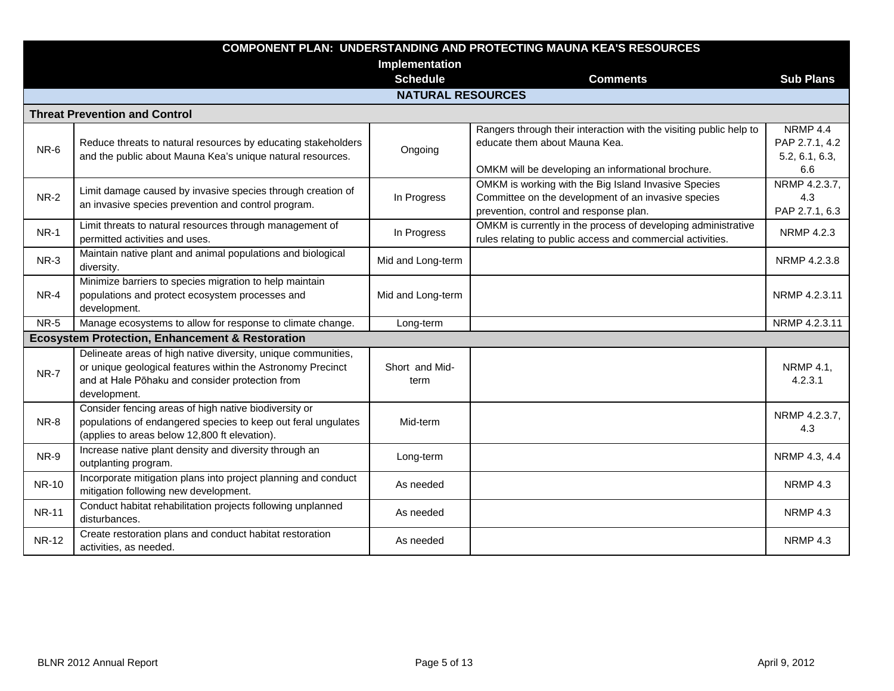| <b>COMPONENT PLAN: UNDERSTANDING AND PROTECTING MAUNA KEA'S RESOURCES</b> |                                                                                                                                                                                                 |                          |                                                                                                                                                           |                                                     |
|---------------------------------------------------------------------------|-------------------------------------------------------------------------------------------------------------------------------------------------------------------------------------------------|--------------------------|-----------------------------------------------------------------------------------------------------------------------------------------------------------|-----------------------------------------------------|
|                                                                           |                                                                                                                                                                                                 | Implementation           |                                                                                                                                                           |                                                     |
|                                                                           |                                                                                                                                                                                                 | <b>Schedule</b>          | <b>Comments</b>                                                                                                                                           | <b>Sub Plans</b>                                    |
|                                                                           |                                                                                                                                                                                                 | <b>NATURAL RESOURCES</b> |                                                                                                                                                           |                                                     |
|                                                                           | <b>Threat Prevention and Control</b>                                                                                                                                                            |                          |                                                                                                                                                           |                                                     |
| NR-6                                                                      | Reduce threats to natural resources by educating stakeholders<br>and the public about Mauna Kea's unique natural resources.                                                                     | Ongoing                  | Rangers through their interaction with the visiting public help to<br>educate them about Mauna Kea.<br>OMKM will be developing an informational brochure. | NRMP 4.4<br>PAP 2.7.1, 4.2<br>5.2, 6.1, 6.3,<br>6.6 |
| $NR-2$                                                                    | Limit damage caused by invasive species through creation of<br>an invasive species prevention and control program.                                                                              | In Progress              | OMKM is working with the Big Island Invasive Species<br>Committee on the development of an invasive species<br>prevention, control and response plan.     | NRMP 4.2.3.7,<br>4.3<br>PAP 2.7.1, 6.3              |
| <b>NR-1</b>                                                               | Limit threats to natural resources through management of<br>permitted activities and uses.                                                                                                      | In Progress              | OMKM is currently in the process of developing administrative<br>rules relating to public access and commercial activities.                               | <b>NRMP 4.2.3</b>                                   |
| NR-3                                                                      | Maintain native plant and animal populations and biological<br>diversity.                                                                                                                       | Mid and Long-term        |                                                                                                                                                           | NRMP 4.2.3.8                                        |
| NR-4                                                                      | Minimize barriers to species migration to help maintain<br>populations and protect ecosystem processes and<br>development.                                                                      | Mid and Long-term        |                                                                                                                                                           | NRMP 4.2.3.11                                       |
| $NR-5$                                                                    | Manage ecosystems to allow for response to climate change.                                                                                                                                      | Long-term                |                                                                                                                                                           | NRMP 4.2.3.11                                       |
|                                                                           | <b>Ecosystem Protection, Enhancement &amp; Restoration</b>                                                                                                                                      |                          |                                                                                                                                                           |                                                     |
| NR-7                                                                      | Delineate areas of high native diversity, unique communities,<br>or unique geological features within the Astronomy Precinct<br>and at Hale Pōhaku and consider protection from<br>development. | Short and Mid-<br>term   |                                                                                                                                                           | <b>NRMP 4.1,</b><br>4.2.3.1                         |
| NR-8                                                                      | Consider fencing areas of high native biodiversity or<br>populations of endangered species to keep out feral ungulates<br>(applies to areas below 12,800 ft elevation).                         | Mid-term                 |                                                                                                                                                           | NRMP 4.2.3.7,<br>4.3                                |
| NR-9                                                                      | Increase native plant density and diversity through an<br>outplanting program.                                                                                                                  | Long-term                |                                                                                                                                                           | NRMP 4.3, 4.4                                       |
| <b>NR-10</b>                                                              | Incorporate mitigation plans into project planning and conduct<br>mitigation following new development.                                                                                         | As needed                |                                                                                                                                                           | NRMP 4.3                                            |
| <b>NR-11</b>                                                              | Conduct habitat rehabilitation projects following unplanned<br>disturbances.                                                                                                                    | As needed                |                                                                                                                                                           | NRMP 4.3                                            |
| <b>NR-12</b>                                                              | Create restoration plans and conduct habitat restoration<br>activities, as needed.                                                                                                              | As needed                |                                                                                                                                                           | NRMP 4.3                                            |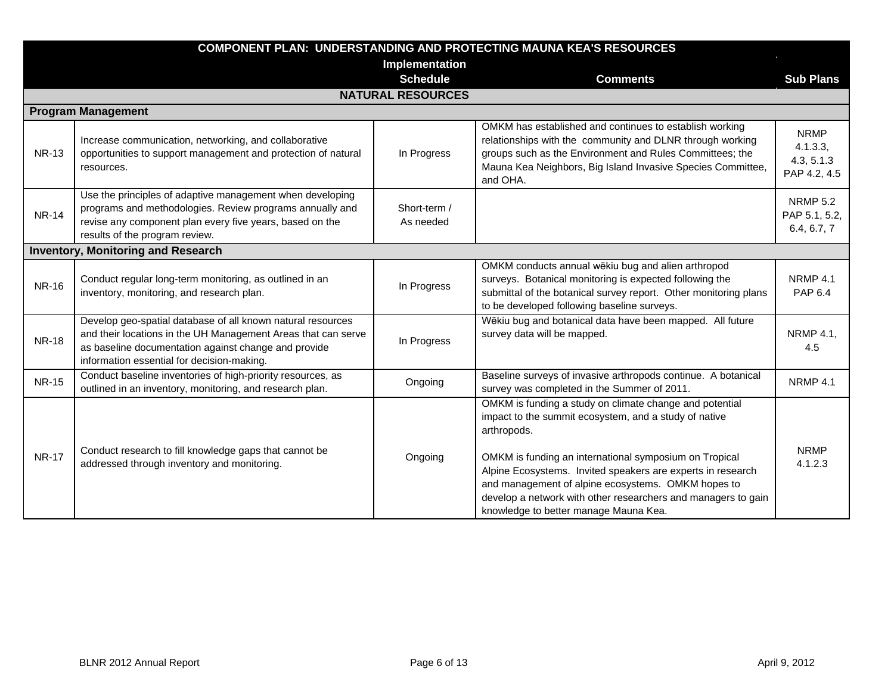|              | <b>COMPONENT PLAN: UNDERSTANDING AND PROTECTING MAUNA KEA'S RESOURCES</b>                                                                                                                                                          |                           |                                                                                                                                                                                                                                                                                                                                                                                                                          |                                                       |  |
|--------------|------------------------------------------------------------------------------------------------------------------------------------------------------------------------------------------------------------------------------------|---------------------------|--------------------------------------------------------------------------------------------------------------------------------------------------------------------------------------------------------------------------------------------------------------------------------------------------------------------------------------------------------------------------------------------------------------------------|-------------------------------------------------------|--|
|              |                                                                                                                                                                                                                                    | Implementation            |                                                                                                                                                                                                                                                                                                                                                                                                                          |                                                       |  |
|              |                                                                                                                                                                                                                                    | <b>Schedule</b>           | <b>Comments</b>                                                                                                                                                                                                                                                                                                                                                                                                          | <b>Sub Plans</b>                                      |  |
|              |                                                                                                                                                                                                                                    | <b>NATURAL RESOURCES</b>  |                                                                                                                                                                                                                                                                                                                                                                                                                          |                                                       |  |
|              | <b>Program Management</b>                                                                                                                                                                                                          |                           |                                                                                                                                                                                                                                                                                                                                                                                                                          |                                                       |  |
| <b>NR-13</b> | Increase communication, networking, and collaborative<br>opportunities to support management and protection of natural<br>resources.                                                                                               | In Progress               | OMKM has established and continues to establish working<br>relationships with the community and DLNR through working<br>groups such as the Environment and Rules Committees; the<br>Mauna Kea Neighbors, Big Island Invasive Species Committee,<br>and OHA.                                                                                                                                                              | <b>NRMP</b><br>4.1.3.3,<br>4.3, 5.1.3<br>PAP 4.2, 4.5 |  |
| <b>NR-14</b> | Use the principles of adaptive management when developing<br>programs and methodologies. Review programs annually and<br>revise any component plan every five years, based on the<br>results of the program review.                | Short-term /<br>As needed |                                                                                                                                                                                                                                                                                                                                                                                                                          | <b>NRMP 5.2</b><br>PAP 5.1, 5.2,<br>6.4, 6.7, 7       |  |
|              | <b>Inventory, Monitoring and Research</b>                                                                                                                                                                                          |                           |                                                                                                                                                                                                                                                                                                                                                                                                                          |                                                       |  |
| <b>NR-16</b> | Conduct regular long-term monitoring, as outlined in an<br>inventory, monitoring, and research plan.                                                                                                                               | In Progress               | OMKM conducts annual wēkiu bug and alien arthropod<br>surveys. Botanical monitoring is expected following the<br>submittal of the botanical survey report. Other monitoring plans<br>to be developed following baseline surveys.                                                                                                                                                                                         | <b>NRMP 4.1</b><br><b>PAP 6.4</b>                     |  |
| <b>NR-18</b> | Develop geo-spatial database of all known natural resources<br>and their locations in the UH Management Areas that can serve<br>as baseline documentation against change and provide<br>information essential for decision-making. | In Progress               | Wēkiu bug and botanical data have been mapped. All future<br>survey data will be mapped.                                                                                                                                                                                                                                                                                                                                 | NRMP 4.1,<br>4.5                                      |  |
| <b>NR-15</b> | Conduct baseline inventories of high-priority resources, as<br>outlined in an inventory, monitoring, and research plan.                                                                                                            | Ongoing                   | Baseline surveys of invasive arthropods continue. A botanical<br>survey was completed in the Summer of 2011.                                                                                                                                                                                                                                                                                                             | NRMP 4.1                                              |  |
| <b>NR-17</b> | Conduct research to fill knowledge gaps that cannot be<br>addressed through inventory and monitoring.                                                                                                                              | Ongoing                   | OMKM is funding a study on climate change and potential<br>impact to the summit ecosystem, and a study of native<br>arthropods.<br>OMKM is funding an international symposium on Tropical<br>Alpine Ecosystems. Invited speakers are experts in research<br>and management of alpine ecosystems. OMKM hopes to<br>develop a network with other researchers and managers to gain<br>knowledge to better manage Mauna Kea. | <b>NRMP</b><br>4.1.2.3                                |  |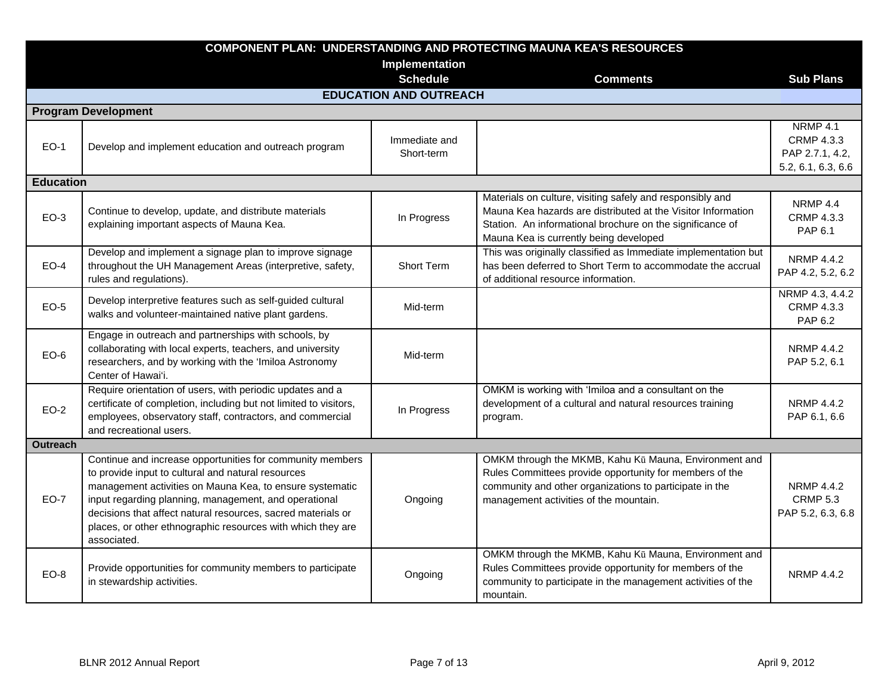| <b>COMPONENT PLAN: UNDERSTANDING AND PROTECTING MAUNA KEA'S RESOURCES</b> |                                                                                                                                                                                                                                                                                                                                                                                    |                               |                                                                                                                                                                                                                                  |                                                                               |
|---------------------------------------------------------------------------|------------------------------------------------------------------------------------------------------------------------------------------------------------------------------------------------------------------------------------------------------------------------------------------------------------------------------------------------------------------------------------|-------------------------------|----------------------------------------------------------------------------------------------------------------------------------------------------------------------------------------------------------------------------------|-------------------------------------------------------------------------------|
|                                                                           |                                                                                                                                                                                                                                                                                                                                                                                    | Implementation                |                                                                                                                                                                                                                                  |                                                                               |
|                                                                           |                                                                                                                                                                                                                                                                                                                                                                                    | <b>Schedule</b>               | <b>Comments</b>                                                                                                                                                                                                                  | <b>Sub Plans</b>                                                              |
|                                                                           |                                                                                                                                                                                                                                                                                                                                                                                    | <b>EDUCATION AND OUTREACH</b> |                                                                                                                                                                                                                                  |                                                                               |
|                                                                           | <b>Program Development</b>                                                                                                                                                                                                                                                                                                                                                         |                               |                                                                                                                                                                                                                                  |                                                                               |
| $EO-1$                                                                    | Develop and implement education and outreach program                                                                                                                                                                                                                                                                                                                               | Immediate and<br>Short-term   |                                                                                                                                                                                                                                  | <b>NRMP 4.1</b><br><b>CRMP 4.3.3</b><br>PAP 2.7.1, 4.2,<br>5.2, 6.1, 6.3, 6.6 |
| <b>Education</b>                                                          |                                                                                                                                                                                                                                                                                                                                                                                    |                               |                                                                                                                                                                                                                                  |                                                                               |
| $EO-3$                                                                    | Continue to develop, update, and distribute materials<br>explaining important aspects of Mauna Kea.                                                                                                                                                                                                                                                                                | In Progress                   | Materials on culture, visiting safely and responsibly and<br>Mauna Kea hazards are distributed at the Visitor Information<br>Station. An informational brochure on the significance of<br>Mauna Kea is currently being developed | <b>NRMP 4.4</b><br>CRMP 4.3.3<br>PAP 6.1                                      |
| $EO-4$                                                                    | Develop and implement a signage plan to improve signage<br>throughout the UH Management Areas (interpretive, safety,<br>rules and regulations).                                                                                                                                                                                                                                    | <b>Short Term</b>             | This was originally classified as Immediate implementation but<br>has been deferred to Short Term to accommodate the accrual<br>of additional resource information.                                                              | <b>NRMP 4.4.2</b><br>PAP 4.2, 5.2, 6.2                                        |
| $EO-5$                                                                    | Develop interpretive features such as self-guided cultural<br>walks and volunteer-maintained native plant gardens.                                                                                                                                                                                                                                                                 | Mid-term                      |                                                                                                                                                                                                                                  | NRMP 4.3, 4.4.2<br><b>CRMP 4.3.3</b><br>PAP 6.2                               |
| $EO-6$                                                                    | Engage in outreach and partnerships with schools, by<br>collaborating with local experts, teachers, and university<br>researchers, and by working with the 'Imiloa Astronomy<br>Center of Hawai'i.                                                                                                                                                                                 | Mid-term                      |                                                                                                                                                                                                                                  | <b>NRMP 4.4.2</b><br>PAP 5.2, 6.1                                             |
| $EO-2$                                                                    | Require orientation of users, with periodic updates and a<br>certificate of completion, including but not limited to visitors,<br>employees, observatory staff, contractors, and commercial<br>and recreational users.                                                                                                                                                             | In Progress                   | OMKM is working with 'Imiloa and a consultant on the<br>development of a cultural and natural resources training<br>program.                                                                                                     | <b>NRMP 4.4.2</b><br>PAP 6.1, 6.6                                             |
| <b>Outreach</b>                                                           |                                                                                                                                                                                                                                                                                                                                                                                    |                               |                                                                                                                                                                                                                                  |                                                                               |
| <b>EO-7</b>                                                               | Continue and increase opportunities for community members<br>to provide input to cultural and natural resources<br>management activities on Mauna Kea, to ensure systematic<br>input regarding planning, management, and operational<br>decisions that affect natural resources, sacred materials or<br>places, or other ethnographic resources with which they are<br>associated. | Ongoing                       | OMKM through the MKMB, Kahu Kū Mauna, Environment and<br>Rules Committees provide opportunity for members of the<br>community and other organizations to participate in the<br>management activities of the mountain.            | <b>NRMP 4.4.2</b><br><b>CRMP 5.3</b><br>PAP 5.2, 6.3, 6.8                     |
| <b>EO-8</b>                                                               | Provide opportunities for community members to participate<br>in stewardship activities.                                                                                                                                                                                                                                                                                           | Ongoing                       | OMKM through the MKMB, Kahu Kū Mauna, Environment and<br>Rules Committees provide opportunity for members of the<br>community to participate in the management activities of the<br>mountain.                                    | <b>NRMP 4.4.2</b>                                                             |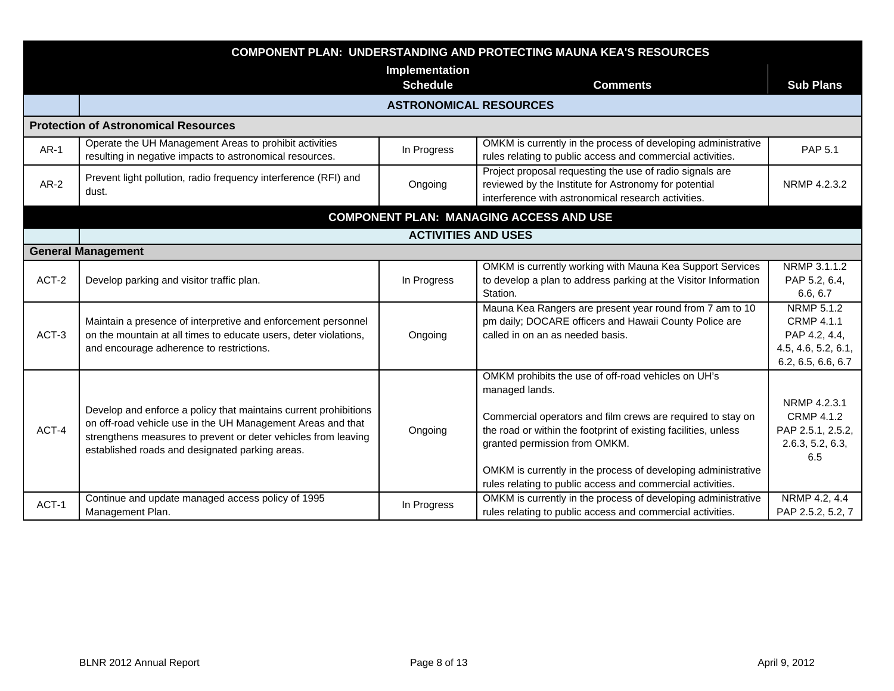| <b>COMPONENT PLAN: UNDERSTANDING AND PROTECTING MAUNA KEA'S RESOURCES</b> |                                                                                                                                                                                                                                                      |                               |                                                                                                                                                                                                                                                                                                                                                                         |                                                                                                      |
|---------------------------------------------------------------------------|------------------------------------------------------------------------------------------------------------------------------------------------------------------------------------------------------------------------------------------------------|-------------------------------|-------------------------------------------------------------------------------------------------------------------------------------------------------------------------------------------------------------------------------------------------------------------------------------------------------------------------------------------------------------------------|------------------------------------------------------------------------------------------------------|
|                                                                           |                                                                                                                                                                                                                                                      | Implementation                |                                                                                                                                                                                                                                                                                                                                                                         |                                                                                                      |
|                                                                           |                                                                                                                                                                                                                                                      | <b>Schedule</b>               | <b>Comments</b>                                                                                                                                                                                                                                                                                                                                                         | <b>Sub Plans</b>                                                                                     |
|                                                                           |                                                                                                                                                                                                                                                      | <b>ASTRONOMICAL RESOURCES</b> |                                                                                                                                                                                                                                                                                                                                                                         |                                                                                                      |
|                                                                           | <b>Protection of Astronomical Resources</b>                                                                                                                                                                                                          |                               |                                                                                                                                                                                                                                                                                                                                                                         |                                                                                                      |
| $AR-1$                                                                    | Operate the UH Management Areas to prohibit activities<br>resulting in negative impacts to astronomical resources.                                                                                                                                   | In Progress                   | OMKM is currently in the process of developing administrative<br>rules relating to public access and commercial activities.                                                                                                                                                                                                                                             | <b>PAP 5.1</b>                                                                                       |
| $AR-2$                                                                    | Prevent light pollution, radio frequency interference (RFI) and<br>dust.                                                                                                                                                                             | Ongoing                       | Project proposal requesting the use of radio signals are<br>reviewed by the Institute for Astronomy for potential<br>interference with astronomical research activities.                                                                                                                                                                                                | NRMP 4.2.3.2                                                                                         |
|                                                                           | <b>COMPONENT PLAN: MANAGING ACCESS AND USE</b>                                                                                                                                                                                                       |                               |                                                                                                                                                                                                                                                                                                                                                                         |                                                                                                      |
|                                                                           |                                                                                                                                                                                                                                                      | <b>ACTIVITIES AND USES</b>    |                                                                                                                                                                                                                                                                                                                                                                         |                                                                                                      |
|                                                                           | <b>General Management</b>                                                                                                                                                                                                                            |                               |                                                                                                                                                                                                                                                                                                                                                                         |                                                                                                      |
| ACT-2                                                                     | Develop parking and visitor traffic plan.                                                                                                                                                                                                            | In Progress                   | OMKM is currently working with Mauna Kea Support Services<br>to develop a plan to address parking at the Visitor Information<br>Station.                                                                                                                                                                                                                                | NRMP 3.1.1.2<br>PAP 5.2, 6.4,<br>6.6, 6.7                                                            |
| ACT-3                                                                     | Maintain a presence of interpretive and enforcement personnel<br>on the mountain at all times to educate users, deter violations,<br>and encourage adherence to restrictions.                                                                        | Ongoing                       | Mauna Kea Rangers are present year round from 7 am to 10<br>pm daily; DOCARE officers and Hawaii County Police are<br>called in on an as needed basis.                                                                                                                                                                                                                  | <b>NRMP 5.1.2</b><br><b>CRMP 4.1.1</b><br>PAP 4.2, 4.4,<br>4.5, 4.6, 5.2, 6.1,<br>6.2, 6.5, 6.6, 6.7 |
| ACT-4                                                                     | Develop and enforce a policy that maintains current prohibitions<br>on off-road vehicle use in the UH Management Areas and that<br>strengthens measures to prevent or deter vehicles from leaving<br>established roads and designated parking areas. | Ongoing                       | OMKM prohibits the use of off-road vehicles on UH's<br>managed lands.<br>Commercial operators and film crews are required to stay on<br>the road or within the footprint of existing facilities, unless<br>granted permission from OMKM.<br>OMKM is currently in the process of developing administrative<br>rules relating to public access and commercial activities. | NRMP 4.2.3.1<br><b>CRMP 4.1.2</b><br>PAP 2.5.1, 2.5.2,<br>2.6.3, 5.2, 6.3,<br>6.5                    |
| ACT-1                                                                     | Continue and update managed access policy of 1995<br>Management Plan.                                                                                                                                                                                | In Progress                   | OMKM is currently in the process of developing administrative<br>rules relating to public access and commercial activities.                                                                                                                                                                                                                                             | NRMP 4.2, 4.4<br>PAP 2.5.2, 5.2, 7                                                                   |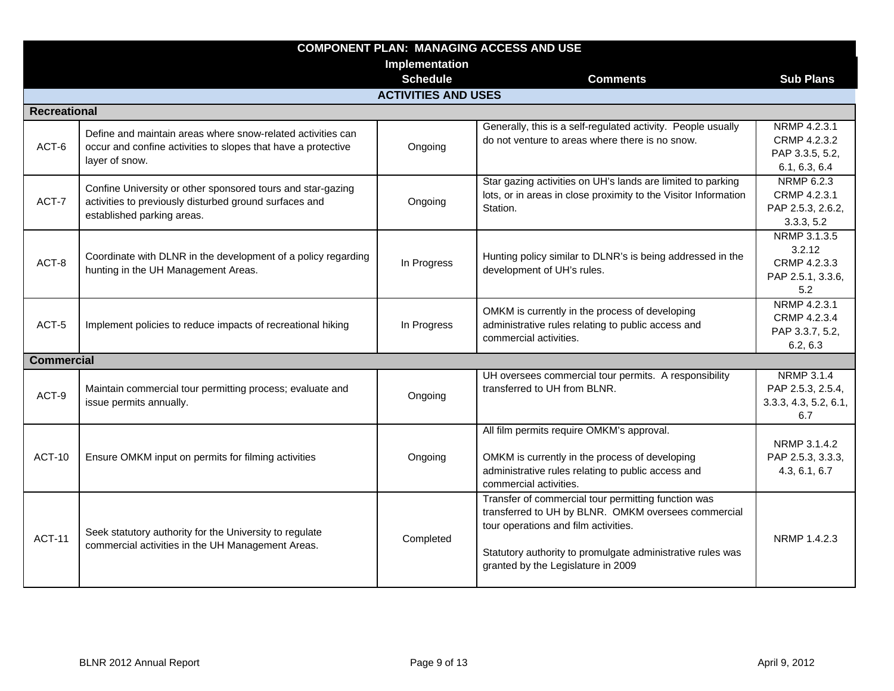|                     | <b>COMPONENT PLAN: MANAGING ACCESS AND USE</b>                                                                                                      |                            |                                                                                                                                                                                                                                                        |                                                                        |  |
|---------------------|-----------------------------------------------------------------------------------------------------------------------------------------------------|----------------------------|--------------------------------------------------------------------------------------------------------------------------------------------------------------------------------------------------------------------------------------------------------|------------------------------------------------------------------------|--|
|                     |                                                                                                                                                     | Implementation             |                                                                                                                                                                                                                                                        |                                                                        |  |
|                     |                                                                                                                                                     | <b>Schedule</b>            | <b>Comments</b>                                                                                                                                                                                                                                        | <b>Sub Plans</b>                                                       |  |
|                     |                                                                                                                                                     | <b>ACTIVITIES AND USES</b> |                                                                                                                                                                                                                                                        |                                                                        |  |
| <b>Recreational</b> |                                                                                                                                                     |                            |                                                                                                                                                                                                                                                        |                                                                        |  |
| ACT-6               | Define and maintain areas where snow-related activities can<br>occur and confine activities to slopes that have a protective<br>layer of snow.      | Ongoing                    | Generally, this is a self-regulated activity. People usually<br>do not venture to areas where there is no snow.                                                                                                                                        | NRMP 4.2.3.1<br>CRMP 4.2.3.2<br>PAP 3.3.5, 5.2,<br>6.1, 6.3, 6.4       |  |
| ACT-7               | Confine University or other sponsored tours and star-gazing<br>activities to previously disturbed ground surfaces and<br>established parking areas. | Ongoing                    | Star gazing activities on UH's lands are limited to parking<br>lots, or in areas in close proximity to the Visitor Information<br>Station.                                                                                                             | <b>NRMP 6.2.3</b><br>CRMP 4.2.3.1<br>PAP 2.5.3, 2.6.2,<br>3.3.3, 5.2   |  |
| ACT-8               | Coordinate with DLNR in the development of a policy regarding<br>hunting in the UH Management Areas.                                                | In Progress                | Hunting policy similar to DLNR's is being addressed in the<br>development of UH's rules.                                                                                                                                                               | NRMP 3.1.3.5<br>3.2.12<br>CRMP 4.2.3.3<br>PAP 2.5.1, 3.3.6,<br>5.2     |  |
| ACT-5               | Implement policies to reduce impacts of recreational hiking                                                                                         | In Progress                | OMKM is currently in the process of developing<br>administrative rules relating to public access and<br>commercial activities.                                                                                                                         | NRMP 4.2.3.1<br>CRMP 4.2.3.4<br>PAP 3.3.7, 5.2,<br>6.2, 6.3            |  |
| <b>Commercial</b>   |                                                                                                                                                     |                            |                                                                                                                                                                                                                                                        |                                                                        |  |
| ACT-9               | Maintain commercial tour permitting process; evaluate and<br>issue permits annually.                                                                | Ongoing                    | UH oversees commercial tour permits. A responsibility<br>transferred to UH from BLNR.                                                                                                                                                                  | <b>NRMP 3.1.4</b><br>PAP 2.5.3, 2.5.4,<br>3.3.3, 4.3, 5.2, 6.1,<br>6.7 |  |
| <b>ACT-10</b>       | Ensure OMKM input on permits for filming activities                                                                                                 | Ongoing                    | All film permits require OMKM's approval.<br>OMKM is currently in the process of developing<br>administrative rules relating to public access and<br>commercial activities.                                                                            | NRMP 3.1.4.2<br>PAP 2.5.3, 3.3.3,<br>4.3, 6.1, 6.7                     |  |
| <b>ACT-11</b>       | Seek statutory authority for the University to regulate<br>commercial activities in the UH Management Areas.                                        | Completed                  | Transfer of commercial tour permitting function was<br>transferred to UH by BLNR. OMKM oversees commercial<br>tour operations and film activities.<br>Statutory authority to promulgate administrative rules was<br>granted by the Legislature in 2009 | NRMP 1.4.2.3                                                           |  |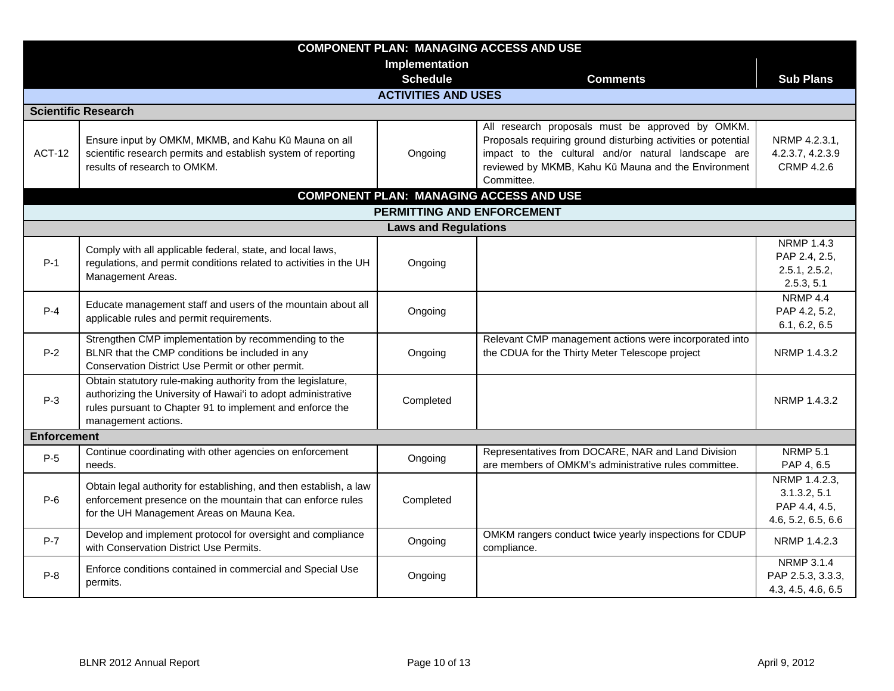|                    | <b>COMPONENT PLAN: MANAGING ACCESS AND USE</b>                                                                                                                                                                    |                             |                                                                                                                                                                                                                                               |                                                                      |  |
|--------------------|-------------------------------------------------------------------------------------------------------------------------------------------------------------------------------------------------------------------|-----------------------------|-----------------------------------------------------------------------------------------------------------------------------------------------------------------------------------------------------------------------------------------------|----------------------------------------------------------------------|--|
|                    |                                                                                                                                                                                                                   | <b>Implementation</b>       |                                                                                                                                                                                                                                               |                                                                      |  |
|                    |                                                                                                                                                                                                                   | <b>Schedule</b>             | <b>Comments</b>                                                                                                                                                                                                                               | <b>Sub Plans</b>                                                     |  |
|                    |                                                                                                                                                                                                                   | <b>ACTIVITIES AND USES</b>  |                                                                                                                                                                                                                                               |                                                                      |  |
|                    | <b>Scientific Research</b>                                                                                                                                                                                        |                             |                                                                                                                                                                                                                                               |                                                                      |  |
| <b>ACT-12</b>      | Ensure input by OMKM, MKMB, and Kahu Kū Mauna on all<br>scientific research permits and establish system of reporting<br>results of research to OMKM.                                                             | Ongoing                     | All research proposals must be approved by OMKM.<br>Proposals requiring ground disturbing activities or potential<br>impact to the cultural and/or natural landscape are<br>reviewed by MKMB, Kahu Kū Mauna and the Environment<br>Committee. | NRMP 4.2.3.1,<br>4.2.3.7, 4.2.3.9<br><b>CRMP 4.2.6</b>               |  |
|                    |                                                                                                                                                                                                                   |                             | <b>COMPONENT PLAN: MANAGING ACCESS AND USE</b>                                                                                                                                                                                                |                                                                      |  |
|                    |                                                                                                                                                                                                                   | PERMITTING AND ENFORCEMENT  |                                                                                                                                                                                                                                               |                                                                      |  |
|                    |                                                                                                                                                                                                                   | <b>Laws and Regulations</b> |                                                                                                                                                                                                                                               |                                                                      |  |
| $P-1$              | Comply with all applicable federal, state, and local laws,<br>regulations, and permit conditions related to activities in the UH<br>Management Areas.                                                             | Ongoing                     |                                                                                                                                                                                                                                               | <b>NRMP 1.4.3</b><br>PAP 2.4, 2.5,<br>2.5.1, 2.5.2,<br>2.5.3, 5.1    |  |
| $P-4$              | Educate management staff and users of the mountain about all<br>applicable rules and permit requirements.                                                                                                         | Ongoing                     |                                                                                                                                                                                                                                               | <b>NRMP 4.4</b><br>PAP 4.2, 5.2,<br>6.1, 6.2, 6.5                    |  |
| $P-2$              | Strengthen CMP implementation by recommending to the<br>BLNR that the CMP conditions be included in any<br>Conservation District Use Permit or other permit.                                                      | Ongoing                     | Relevant CMP management actions were incorporated into<br>the CDUA for the Thirty Meter Telescope project                                                                                                                                     | NRMP 1.4.3.2                                                         |  |
| $P-3$              | Obtain statutory rule-making authority from the legislature,<br>authorizing the University of Hawai'i to adopt administrative<br>rules pursuant to Chapter 91 to implement and enforce the<br>management actions. | Completed                   |                                                                                                                                                                                                                                               | NRMP 1.4.3.2                                                         |  |
| <b>Enforcement</b> |                                                                                                                                                                                                                   |                             |                                                                                                                                                                                                                                               |                                                                      |  |
| $P-5$              | Continue coordinating with other agencies on enforcement<br>needs.                                                                                                                                                | Ongoing                     | Representatives from DOCARE, NAR and Land Division<br>are members of OMKM's administrative rules committee.                                                                                                                                   | <b>NRMP 5.1</b><br>PAP 4, 6.5                                        |  |
| $P-6$              | Obtain legal authority for establishing, and then establish, a law<br>enforcement presence on the mountain that can enforce rules<br>for the UH Management Areas on Mauna Kea.                                    | Completed                   |                                                                                                                                                                                                                                               | NRMP 1.4.2.3,<br>3.1.3.2, 5.1<br>PAP 4.4, 4.5,<br>4.6, 5.2, 6.5, 6.6 |  |
| $P-7$              | Develop and implement protocol for oversight and compliance<br>with Conservation District Use Permits.                                                                                                            | Ongoing                     | OMKM rangers conduct twice yearly inspections for CDUP<br>compliance.                                                                                                                                                                         | NRMP 1.4.2.3                                                         |  |
| $P-8$              | Enforce conditions contained in commercial and Special Use<br>permits.                                                                                                                                            | Ongoing                     |                                                                                                                                                                                                                                               | <b>NRMP 3.1.4</b><br>PAP 2.5.3, 3.3.3,<br>4.3, 4.5, 4.6, 6.5         |  |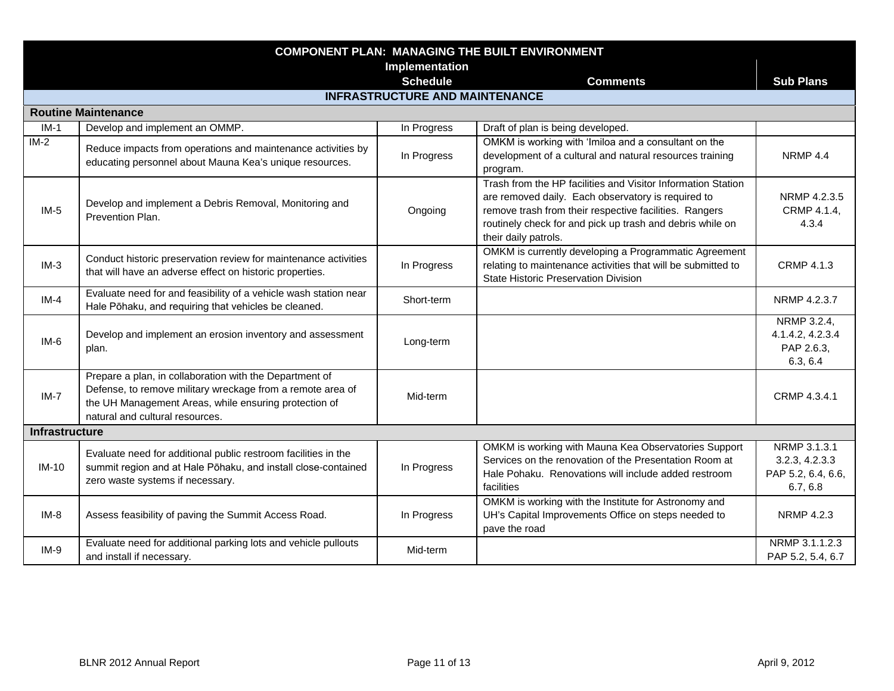|                       | <b>COMPONENT PLAN: MANAGING THE BUILT ENVIRONMENT</b>                                                                                                                                                             |                                       |                                                                                                                                                                                                                                                                   |                                                                  |  |
|-----------------------|-------------------------------------------------------------------------------------------------------------------------------------------------------------------------------------------------------------------|---------------------------------------|-------------------------------------------------------------------------------------------------------------------------------------------------------------------------------------------------------------------------------------------------------------------|------------------------------------------------------------------|--|
|                       |                                                                                                                                                                                                                   | Implementation<br><b>Schedule</b>     | <b>Comments</b>                                                                                                                                                                                                                                                   | <b>Sub Plans</b>                                                 |  |
|                       |                                                                                                                                                                                                                   | <b>INFRASTRUCTURE AND MAINTENANCE</b> |                                                                                                                                                                                                                                                                   |                                                                  |  |
|                       | <b>Routine Maintenance</b>                                                                                                                                                                                        |                                       |                                                                                                                                                                                                                                                                   |                                                                  |  |
| $IM-1$                | Develop and implement an OMMP.                                                                                                                                                                                    | In Progress                           | Draft of plan is being developed.                                                                                                                                                                                                                                 |                                                                  |  |
| $IM-2$                | Reduce impacts from operations and maintenance activities by<br>educating personnel about Mauna Kea's unique resources.                                                                                           | In Progress                           | OMKM is working with 'Imiloa and a consultant on the<br>development of a cultural and natural resources training<br>program.                                                                                                                                      | NRMP 4.4                                                         |  |
| $IM-5$                | Develop and implement a Debris Removal, Monitoring and<br>Prevention Plan.                                                                                                                                        | Ongoing                               | Trash from the HP facilities and Visitor Information Station<br>are removed daily. Each observatory is required to<br>remove trash from their respective facilities. Rangers<br>routinely check for and pick up trash and debris while on<br>their daily patrols. | NRMP 4.2.3.5<br>CRMP 4.1.4,<br>4.3.4                             |  |
| $IM-3$                | Conduct historic preservation review for maintenance activities<br>that will have an adverse effect on historic properties.                                                                                       | In Progress                           | OMKM is currently developing a Programmatic Agreement<br>relating to maintenance activities that will be submitted to<br><b>State Historic Preservation Division</b>                                                                                              | <b>CRMP 4.1.3</b>                                                |  |
| $IM-4$                | Evaluate need for and feasibility of a vehicle wash station near<br>Hale Pōhaku, and requiring that vehicles be cleaned.                                                                                          | Short-term                            |                                                                                                                                                                                                                                                                   | NRMP 4.2.3.7                                                     |  |
| $IM-6$                | Develop and implement an erosion inventory and assessment<br>plan.                                                                                                                                                | Long-term                             |                                                                                                                                                                                                                                                                   | NRMP 3.2.4,<br>4.1.4.2, 4.2.3.4<br>PAP 2.6.3,<br>6.3, 6.4        |  |
| $IM-7$                | Prepare a plan, in collaboration with the Department of<br>Defense, to remove military wreckage from a remote area of<br>the UH Management Areas, while ensuring protection of<br>natural and cultural resources. | Mid-term                              |                                                                                                                                                                                                                                                                   | CRMP 4.3.4.1                                                     |  |
| <b>Infrastructure</b> |                                                                                                                                                                                                                   |                                       |                                                                                                                                                                                                                                                                   |                                                                  |  |
| $IM-10$               | Evaluate need for additional public restroom facilities in the<br>summit region and at Hale Pōhaku, and install close-contained<br>zero waste systems if necessary.                                               | In Progress                           | OMKM is working with Mauna Kea Observatories Support<br>Services on the renovation of the Presentation Room at<br>Hale Pohaku. Renovations will include added restroom<br>facilities                                                                              | NRMP 3.1.3.1<br>3.2.3, 4.2.3.3<br>PAP 5.2, 6.4, 6.6,<br>6.7, 6.8 |  |
| $IM-8$                | Assess feasibility of paving the Summit Access Road.                                                                                                                                                              | In Progress                           | OMKM is working with the Institute for Astronomy and<br>UH's Capital Improvements Office on steps needed to<br>pave the road                                                                                                                                      | <b>NRMP 4.2.3</b>                                                |  |
| $IM-9$                | Evaluate need for additional parking lots and vehicle pullouts<br>and install if necessary.                                                                                                                       | Mid-term                              |                                                                                                                                                                                                                                                                   | NRMP 3.1.1.2.3<br>PAP 5.2, 5.4, 6.7                              |  |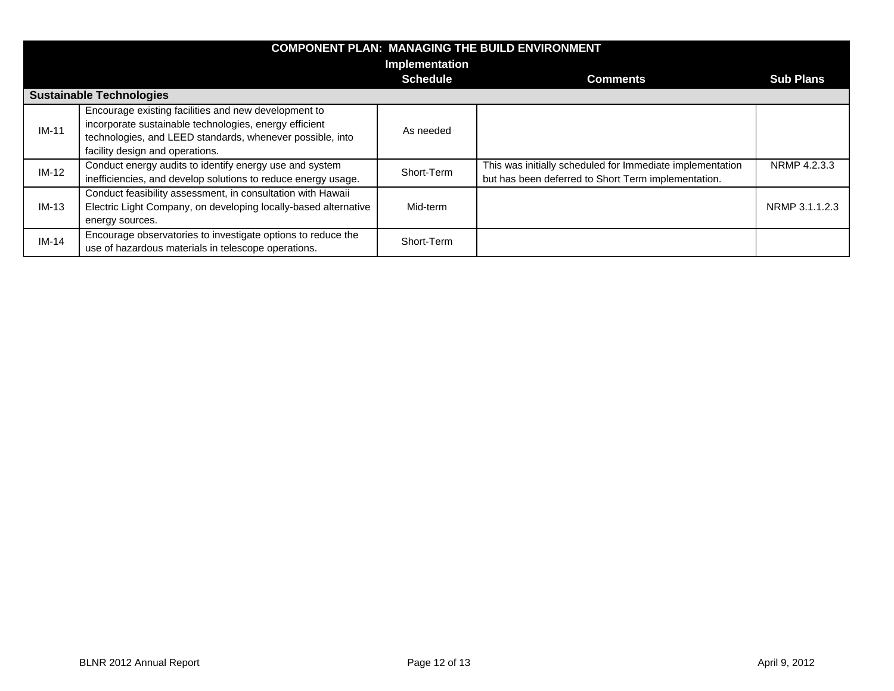| <b>COMPONENT PLAN: MANAGING THE BUILD ENVIRONMENT</b><br>Implementation |                                                                                                                                                                                                                |            |                                                                                                                  |                |  |  |
|-------------------------------------------------------------------------|----------------------------------------------------------------------------------------------------------------------------------------------------------------------------------------------------------------|------------|------------------------------------------------------------------------------------------------------------------|----------------|--|--|
|                                                                         | <b>Schedule</b><br><b>Sub Plans</b><br><b>Comments</b>                                                                                                                                                         |            |                                                                                                                  |                |  |  |
|                                                                         | <b>Sustainable Technologies</b>                                                                                                                                                                                |            |                                                                                                                  |                |  |  |
| $IM-11$                                                                 | Encourage existing facilities and new development to<br>incorporate sustainable technologies, energy efficient<br>technologies, and LEED standards, whenever possible, into<br>facility design and operations. | As needed  |                                                                                                                  |                |  |  |
| $IM-12$                                                                 | Conduct energy audits to identify energy use and system<br>inefficiencies, and develop solutions to reduce energy usage.                                                                                       | Short-Term | This was initially scheduled for Immediate implementation<br>but has been deferred to Short Term implementation. | NRMP 4.2.3.3   |  |  |
| $IM-13$                                                                 | Conduct feasibility assessment, in consultation with Hawaii<br>Electric Light Company, on developing locally-based alternative<br>energy sources.                                                              | Mid-term   |                                                                                                                  | NRMP 3.1.1.2.3 |  |  |
| $IM-14$                                                                 | Encourage observatories to investigate options to reduce the<br>use of hazardous materials in telescope operations.                                                                                            | Short-Term |                                                                                                                  |                |  |  |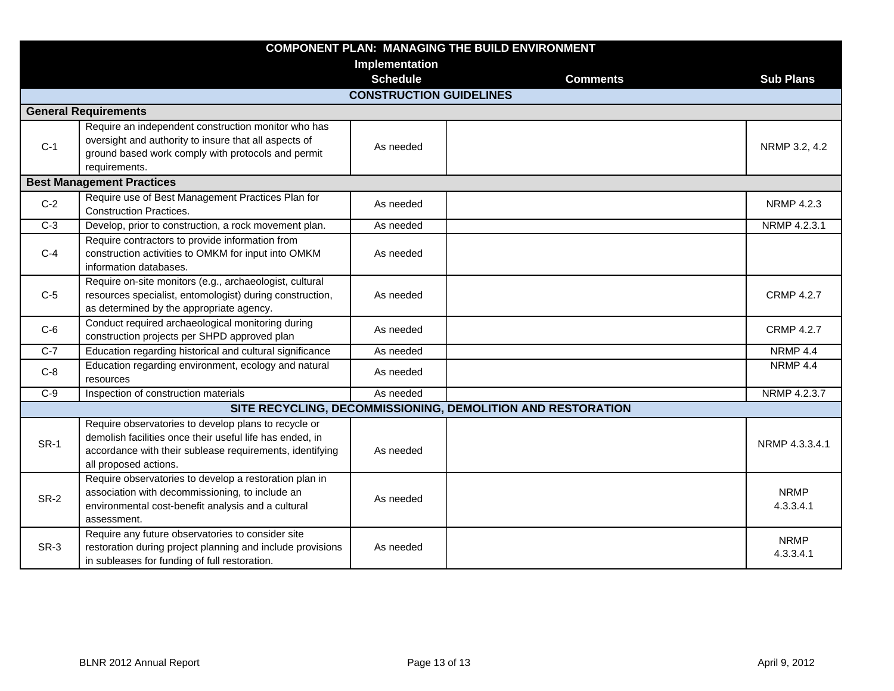| <b>COMPONENT PLAN: MANAGING THE BUILD ENVIRONMENT</b> |                                                                                                                                                                                                       |                                |                                                             |                          |
|-------------------------------------------------------|-------------------------------------------------------------------------------------------------------------------------------------------------------------------------------------------------------|--------------------------------|-------------------------------------------------------------|--------------------------|
|                                                       |                                                                                                                                                                                                       | <b>Implementation</b>          |                                                             |                          |
|                                                       |                                                                                                                                                                                                       | <b>Schedule</b>                | <b>Comments</b>                                             | <b>Sub Plans</b>         |
|                                                       |                                                                                                                                                                                                       | <b>CONSTRUCTION GUIDELINES</b> |                                                             |                          |
|                                                       | <b>General Requirements</b>                                                                                                                                                                           |                                |                                                             |                          |
| $C-1$                                                 | Require an independent construction monitor who has<br>oversight and authority to insure that all aspects of<br>ground based work comply with protocols and permit<br>requirements.                   | As needed                      |                                                             | NRMP 3.2, 4.2            |
|                                                       | <b>Best Management Practices</b>                                                                                                                                                                      |                                |                                                             |                          |
| $C-2$                                                 | Require use of Best Management Practices Plan for<br><b>Construction Practices.</b>                                                                                                                   | As needed                      |                                                             | <b>NRMP 4.2.3</b>        |
| $C-3$                                                 | Develop, prior to construction, a rock movement plan.                                                                                                                                                 | As needed                      |                                                             | NRMP 4.2.3.1             |
| $C-4$                                                 | Require contractors to provide information from<br>construction activities to OMKM for input into OMKM<br>information databases.                                                                      | As needed                      |                                                             |                          |
| $C-5$                                                 | Require on-site monitors (e.g., archaeologist, cultural<br>resources specialist, entomologist) during construction,<br>as determined by the appropriate agency.                                       | As needed                      |                                                             | <b>CRMP 4.2.7</b>        |
| $C-6$                                                 | Conduct required archaeological monitoring during<br>construction projects per SHPD approved plan                                                                                                     | As needed                      |                                                             | <b>CRMP 4.2.7</b>        |
| $C-7$                                                 | Education regarding historical and cultural significance                                                                                                                                              | As needed                      |                                                             | NRMP 4.4                 |
| $C-8$                                                 | Education regarding environment, ecology and natural<br>resources                                                                                                                                     | As needed                      |                                                             | <b>NRMP 4.4</b>          |
| $C-9$                                                 | Inspection of construction materials                                                                                                                                                                  | As needed                      |                                                             | NRMP 4.2.3.7             |
|                                                       |                                                                                                                                                                                                       |                                | SITE RECYCLING, DECOMMISSIONING, DEMOLITION AND RESTORATION |                          |
| <b>SR-1</b>                                           | Require observatories to develop plans to recycle or<br>demolish facilities once their useful life has ended, in<br>accordance with their sublease requirements, identifying<br>all proposed actions. | As needed                      |                                                             | NRMP 4.3.3.4.1           |
| <b>SR-2</b>                                           | Require observatories to develop a restoration plan in<br>association with decommissioning, to include an<br>environmental cost-benefit analysis and a cultural<br>assessment.                        | As needed                      |                                                             | <b>NRMP</b><br>4.3.3.4.1 |
| SR-3                                                  | Require any future observatories to consider site<br>restoration during project planning and include provisions<br>in subleases for funding of full restoration.                                      | As needed                      |                                                             | <b>NRMP</b><br>4.3.3.4.1 |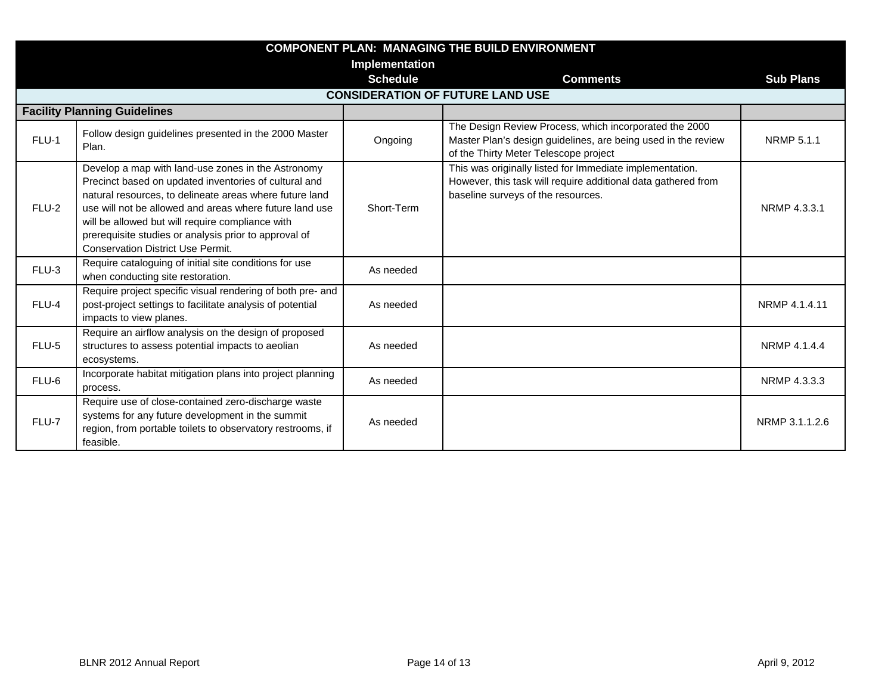| <b>COMPONENT PLAN: MANAGING THE BUILD ENVIRONMENT</b> |                                                                                                                                                                                                                                                                                                                                                                                            |                 |                                                                                                                                                                  |                  |
|-------------------------------------------------------|--------------------------------------------------------------------------------------------------------------------------------------------------------------------------------------------------------------------------------------------------------------------------------------------------------------------------------------------------------------------------------------------|-----------------|------------------------------------------------------------------------------------------------------------------------------------------------------------------|------------------|
|                                                       |                                                                                                                                                                                                                                                                                                                                                                                            | Implementation  |                                                                                                                                                                  |                  |
|                                                       |                                                                                                                                                                                                                                                                                                                                                                                            | <b>Schedule</b> | <b>Comments</b>                                                                                                                                                  | <b>Sub Plans</b> |
|                                                       |                                                                                                                                                                                                                                                                                                                                                                                            |                 | <b>CONSIDERATION OF FUTURE LAND USE</b>                                                                                                                          |                  |
|                                                       | <b>Facility Planning Guidelines</b>                                                                                                                                                                                                                                                                                                                                                        |                 |                                                                                                                                                                  |                  |
| FLU-1                                                 | Follow design guidelines presented in the 2000 Master<br>Plan.                                                                                                                                                                                                                                                                                                                             | Ongoing         | The Design Review Process, which incorporated the 2000<br>Master Plan's design guidelines, are being used in the review<br>of the Thirty Meter Telescope project | NRMP 5.1.1       |
| FLU-2                                                 | Develop a map with land-use zones in the Astronomy<br>Precinct based on updated inventories of cultural and<br>natural resources, to delineate areas where future land<br>use will not be allowed and areas where future land use<br>will be allowed but will require compliance with<br>prerequisite studies or analysis prior to approval of<br><b>Conservation District Use Permit.</b> | Short-Term      | This was originally listed for Immediate implementation.<br>However, this task will require additional data gathered from<br>baseline surveys of the resources.  | NRMP 4.3.3.1     |
| FLU-3                                                 | Require cataloguing of initial site conditions for use<br>when conducting site restoration.                                                                                                                                                                                                                                                                                                | As needed       |                                                                                                                                                                  |                  |
| FLU-4                                                 | Require project specific visual rendering of both pre- and<br>post-project settings to facilitate analysis of potential<br>impacts to view planes.                                                                                                                                                                                                                                         | As needed       |                                                                                                                                                                  | NRMP 4.1.4.11    |
| FLU-5                                                 | Require an airflow analysis on the design of proposed<br>structures to assess potential impacts to aeolian<br>ecosystems.                                                                                                                                                                                                                                                                  | As needed       |                                                                                                                                                                  | NRMP 4.1.4.4     |
| FLU-6                                                 | Incorporate habitat mitigation plans into project planning<br>process.                                                                                                                                                                                                                                                                                                                     | As needed       |                                                                                                                                                                  | NRMP 4.3.3.3     |
| FLU-7                                                 | Require use of close-contained zero-discharge waste<br>systems for any future development in the summit<br>region, from portable toilets to observatory restrooms, if<br>feasible.                                                                                                                                                                                                         | As needed       |                                                                                                                                                                  | NRMP 3.1.1.2.6   |